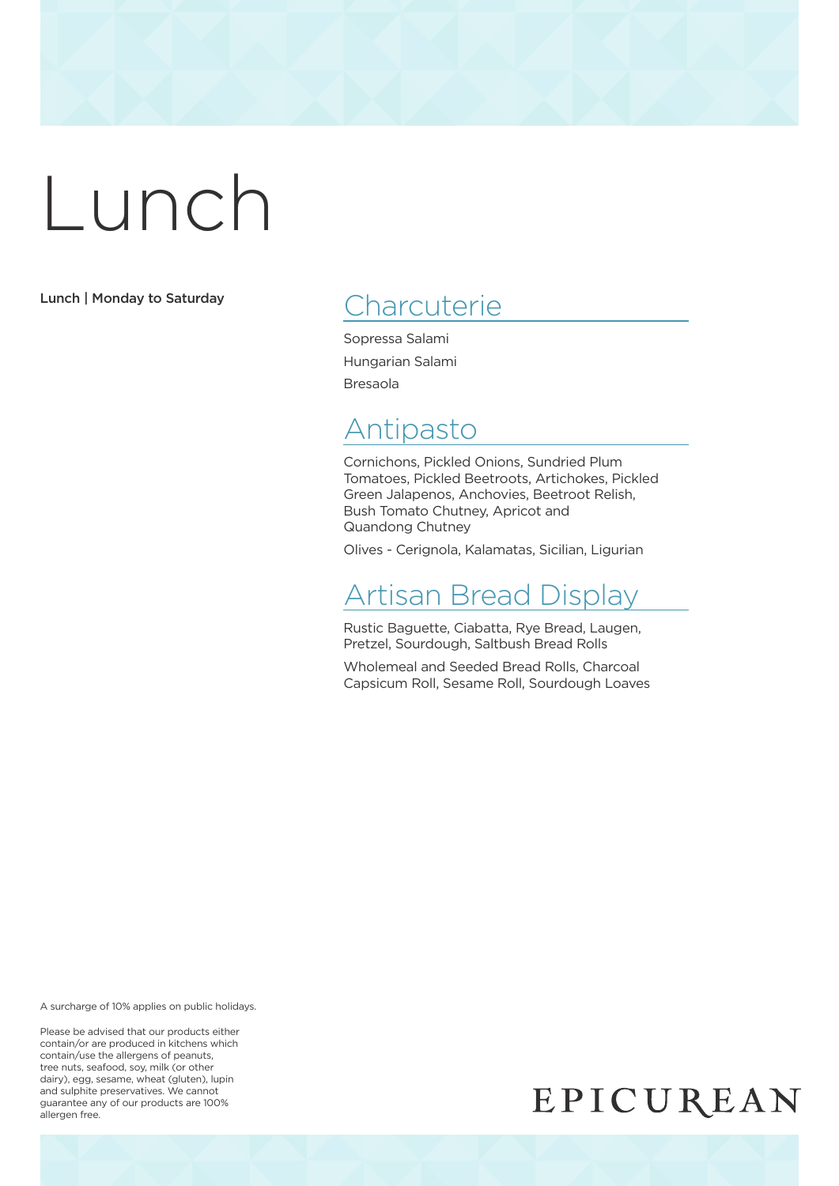Lunch | Monday to Saturday

## **Charcuterie**

Sopressa Salami Hungarian Salami Bresaola

## Antipasto

Cornichons, Pickled Onions, Sundried Plum Tomatoes, Pickled Beetroots, Artichokes, Pickled Green Jalapenos, Anchovies, Beetroot Relish, Bush Tomato Chutney, Apricot and Quandong Chutney

Olives - Cerignola, Kalamatas, Sicilian, Ligurian

### Artisan Bread Display

Rustic Baguette, Ciabatta, Rye Bread, Laugen, Pretzel, Sourdough, Saltbush Bread Rolls

Wholemeal and Seeded Bread Rolls, Charcoal Capsicum Roll, Sesame Roll, Sourdough Loaves

A surcharge of 10% applies on public holidays.

Please be advised that our products either contain/or are produced in kitchens which contain/use the allergens of peanuts, tree nuts, seafood, soy, milk (or other dairy), egg, sesame, wheat (gluten), lupin and sulphite preservatives. We cannot guarantee any of our products are 100% allergen free.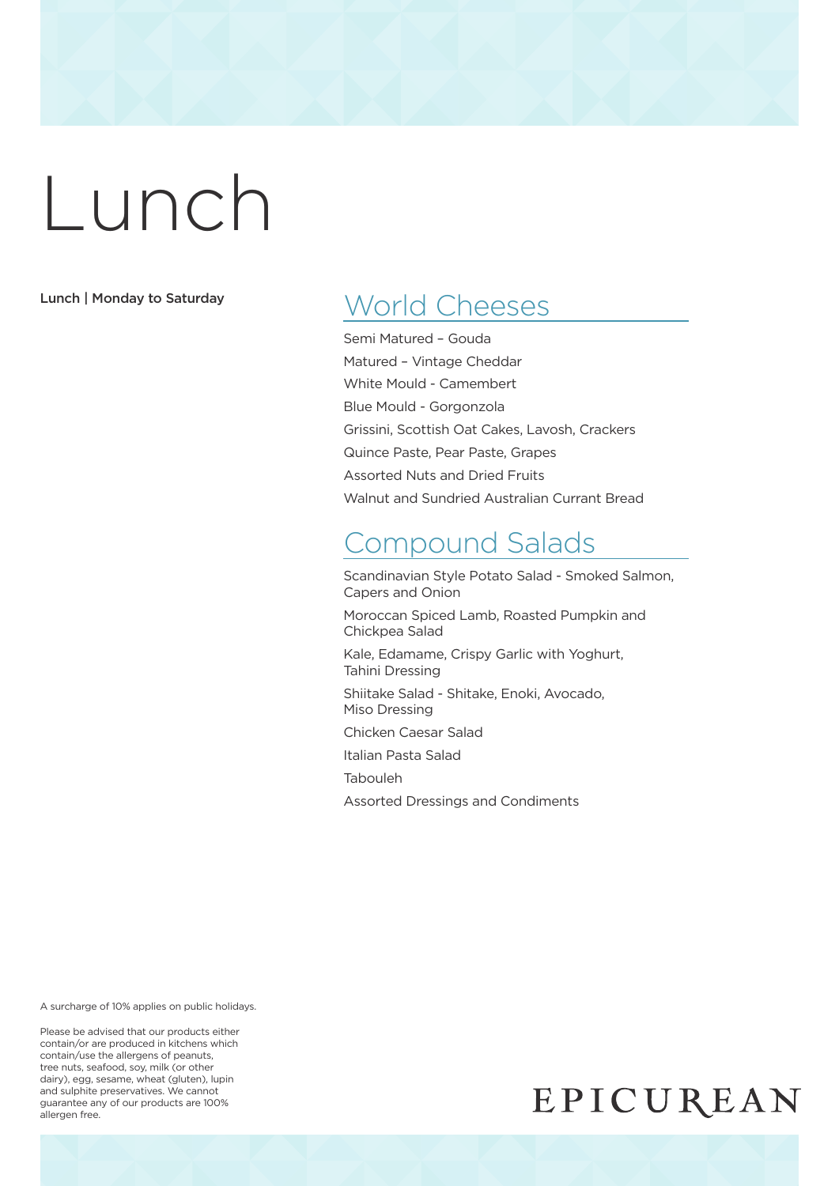#### Lunch | Monday to Saturday

## World Cheeses

Semi Matured – Gouda Matured – Vintage Cheddar White Mould - Camembert Blue Mould - Gorgonzola Grissini, Scottish Oat Cakes, Lavosh, Crackers Quince Paste, Pear Paste, Grapes Assorted Nuts and Dried Fruits Walnut and Sundried Australian Currant Bread

## Compound Salads

Scandinavian Style Potato Salad - Smoked Salmon, Capers and Onion

Moroccan Spiced Lamb, Roasted Pumpkin and Chickpea Salad

Kale, Edamame, Crispy Garlic with Yoghurt, Tahini Dressing

Shiitake Salad - Shitake, Enoki, Avocado, Miso Dressing

Chicken Caesar Salad

Italian Pasta Salad

Tabouleh

Assorted Dressings and Condiments

A surcharge of 10% applies on public holidays.

Please be advised that our products either contain/or are produced in kitchens which contain/use the allergens of peanuts, tree nuts, seafood, soy, milk (or other dairy), egg, sesame, wheat (gluten), lupin and sulphite preservatives. We cannot guarantee any of our products are 100% allergen free.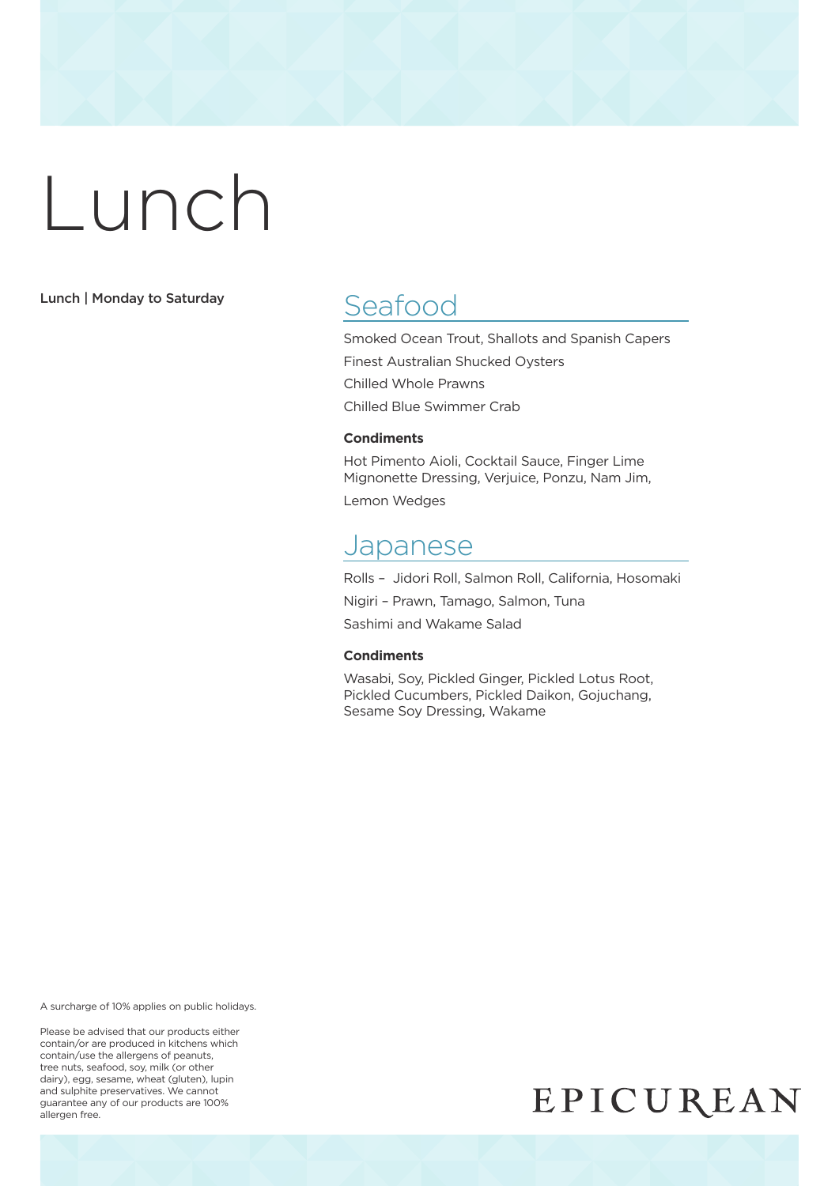Lunch | Monday to Saturday

## Seafood

Smoked Ocean Trout, Shallots and Spanish Capers Finest Australian Shucked Oysters Chilled Whole Prawns Chilled Blue Swimmer Crab

#### **Condiments**

Hot Pimento Aioli, Cocktail Sauce, Finger Lime Mignonette Dressing, Verjuice, Ponzu, Nam Jim, Lemon Wedges

#### Japanese

Rolls – Jidori Roll, Salmon Roll, California, Hosomaki Nigiri – Prawn, Tamago, Salmon, Tuna Sashimi and Wakame Salad

#### **Condiments**

Wasabi, Soy, Pickled Ginger, Pickled Lotus Root, Pickled Cucumbers, Pickled Daikon, Gojuchang, Sesame Soy Dressing, Wakame

A surcharge of 10% applies on public holidays.

Please be advised that our products either contain/or are produced in kitchens which contain/use the allergens of peanuts, tree nuts, seafood, soy, milk (or other dairy), egg, sesame, wheat (gluten), lupin and sulphite preservatives. We cannot guarantee any of our products are 100% allergen free.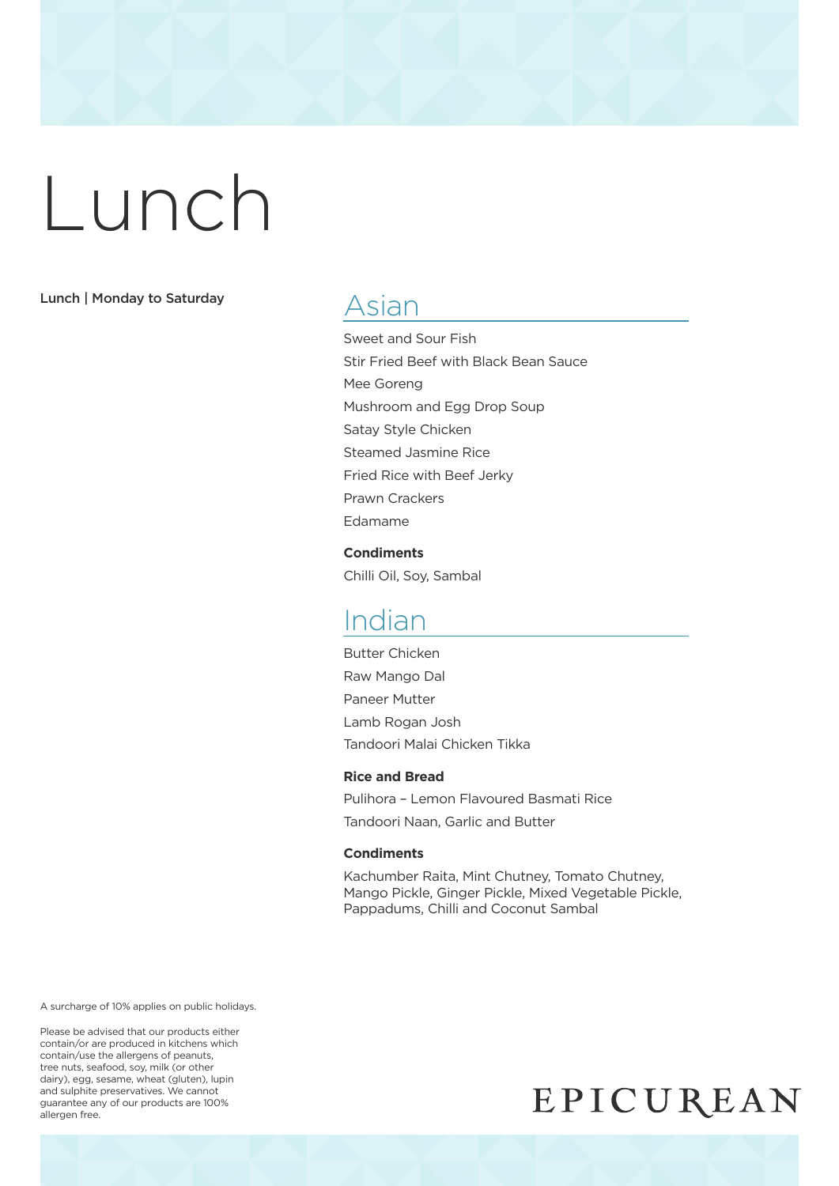#### Lunch | Monday to Saturday

#### Asian

Sweet and Sour Fish Stir Fried Beef with Black Bean Sauce Mee Goreng Mushroom and Egg Drop Soup Satay Style Chicken Steamed Jasmine Rice Fried Rice with Beef Jerky Prawn Crackers Edamame

**Condiments** Chilli Oil, Soy, Sambal

### Indian

Butter Chicken Raw Mango Dal Paneer Mutter Lamb Rogan Josh Tandoori Malai Chicken Tikka

#### **Rice and Bread**

Pulihora – Lemon Flavoured Basmati Rice Tandoori Naan, Garlic and Butter

#### **Condiments**

Kachumber Raita, Mint Chutney, Tomato Chutney, Mango Pickle, Ginger Pickle, Mixed Vegetable Pickle, Pappadums, Chilli and Coconut Sambal

A surcharge of 10% applies on public holidays.

Please be advised that our products either contain/or are produced in kitchens which contain/use the allergens of peanuts, tree nuts, seafood, soy, milk (or other dairy), egg, sesame, wheat (gluten), lupin and sulphite preservatives. We cannot guarantee any of our products are 100% allergen free.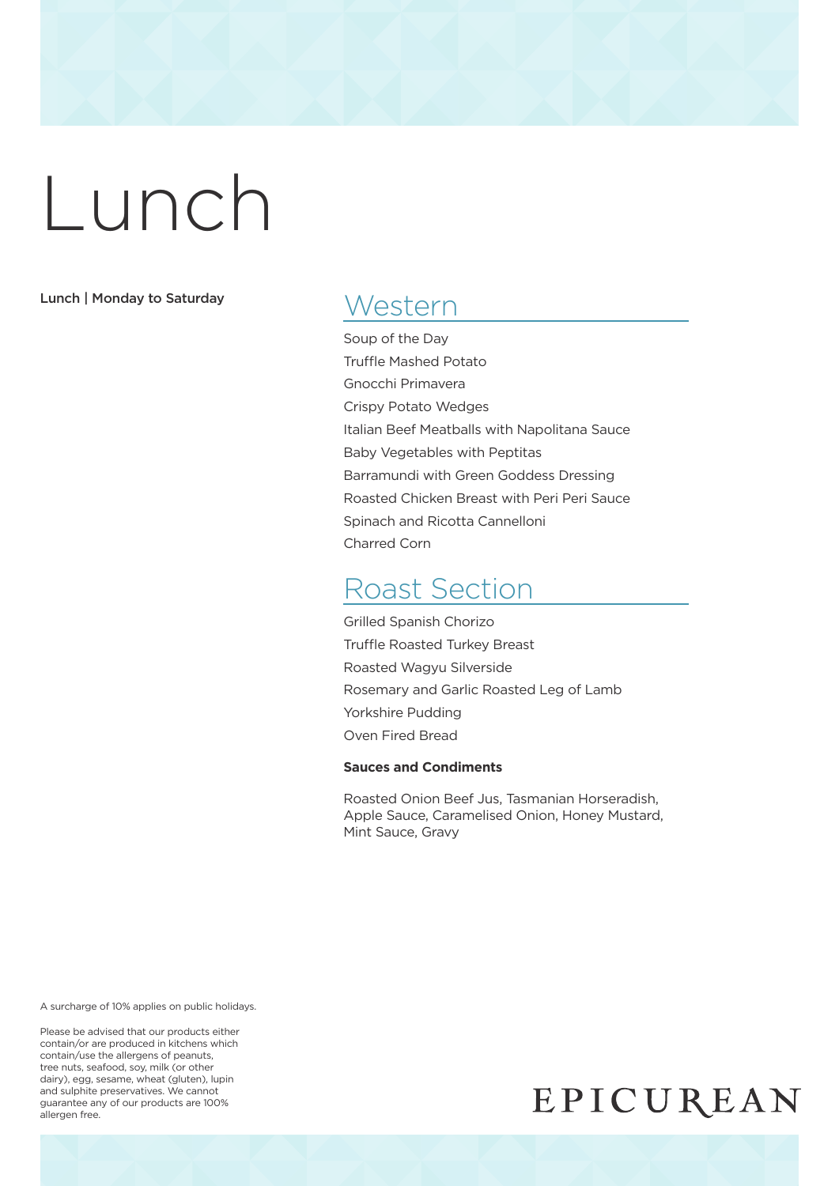#### Lunch | Monday to Saturday

### **Western**

Soup of the Day Truffle Mashed Potato Gnocchi Primavera Crispy Potato Wedges Italian Beef Meatballs with Napolitana Sauce Baby Vegetables with Peptitas Barramundi with Green Goddess Dressing Roasted Chicken Breast with Peri Peri Sauce Spinach and Ricotta Cannelloni Charred Corn

### Roast Section

Grilled Spanish Chorizo Truffle Roasted Turkey Breast Roasted Wagyu Silverside Rosemary and Garlic Roasted Leg of Lamb Yorkshire Pudding Oven Fired Bread

#### **Sauces and Condiments**

Roasted Onion Beef Jus, Tasmanian Horseradish, Apple Sauce, Caramelised Onion, Honey Mustard, Mint Sauce, Gravy

A surcharge of 10% applies on public holidays.

Please be advised that our products either contain/or are produced in kitchens which contain/use the allergens of peanuts, tree nuts, seafood, soy, milk (or other dairy), egg, sesame, wheat (gluten), lupin and sulphite preservatives. We cannot guarantee any of our products are 100% allergen free.